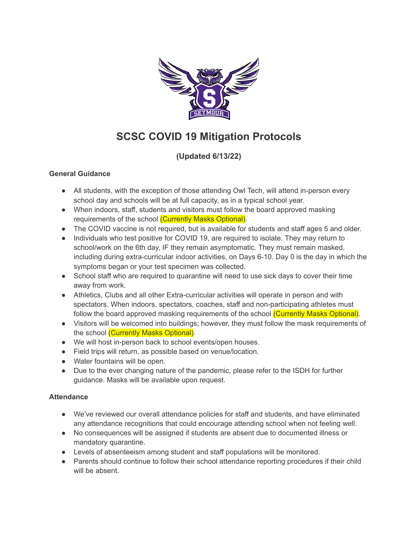

# **SCSC COVID 19 Mitigation Protocols**

# **(Updated 6/13/22)**

# **General Guidance**

- All students, with the exception of those attending Owl Tech, will attend in-person every school day and schools will be at full capacity, as in a typical school year.
- When indoors, staff, students and visitors must follow the board approved masking requirements of the school (Currently Masks Optional).
- The COVID vaccine is not required, but is available for students and staff ages 5 and older.
- Individuals who test positive for COVID 19, are required to isolate. They may return to school/work on the 6th day, IF they remain asymptomatic. They must remain masked, including during extra-curricular indoor activities, on Days 6-10. Day 0 is the day in which the symptoms began or your test specimen was collected.
- School staff who are required to quarantine will need to use sick days to cover their time away from work.
- Athletics, Clubs and all other Extra-curricular activities will operate in person and with spectators. When indoors, spectators, coaches, staff and non-participating athletes must follow the board approved masking requirements of the school (Currently Masks Optional).
- Visitors will be welcomed into buildings; however, they must follow the mask requirements of the school (Currently Masks Optional).
- We will host in-person back to school events/open houses.
- Field trips will return, as possible based on venue/location.
- Water fountains will be open.
- Due to the ever changing nature of the pandemic, please refer to the ISDH for further guidance. Masks will be available upon request.

# **Attendance**

- We've reviewed our overall attendance policies for staff and students, and have eliminated any attendance recognitions that could encourage attending school when not feeling well.
- No consequences will be assigned if students are absent due to documented illness or mandatory quarantine.
- Levels of absenteeism among student and staff populations will be monitored.
- Parents should continue to follow their school attendance reporting procedures if their child will be absent.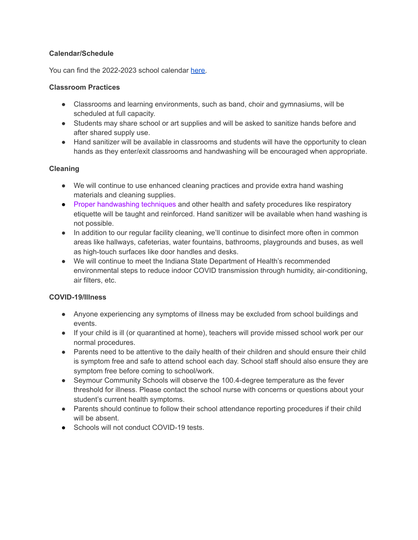# **Calendar/Schedule**

You can find the 2022-2023 school calendar [here.](http://www.scsc.k12.in.us/document-library/district-information/1026-2022-2023-school-calendar/file)

#### **Classroom Practices**

- Classrooms and learning environments, such as band, choir and gymnasiums, will be scheduled at full capacity.
- Students may share school or art supplies and will be asked to sanitize hands before and after shared supply use.
- Hand sanitizer will be available in classrooms and students will have the opportunity to clean hands as they enter/exit classrooms and handwashing will be encouraged when appropriate.

#### **Cleaning**

- We will continue to use enhanced cleaning practices and provide extra hand washing materials and cleaning supplies.
- [Proper handwashing techniques](https://www.cdc.gov/handwashing/index.html) and other health and safety procedures like respiratory etiquette will be taught and reinforced. Hand sanitizer will be available when hand washing is not possible.
- In addition to our regular facility cleaning, we'll continue to disinfect more often in common areas like hallways, cafeterias, water fountains, bathrooms, playgrounds and buses, as well as high-touch surfaces like door handles and desks.
- We will continue to meet the Indiana State Department of Health's recommended environmental steps to reduce indoor COVID transmission through humidity, air-conditioning, air filters, etc.

#### **COVID-19/Illness**

- Anyone experiencing any symptoms of illness may be excluded from school buildings and events.
- If your child is ill (or quarantined at home), teachers will provide missed school work per our normal procedures.
- Parents need to be attentive to the daily health of their children and should ensure their child is symptom free and safe to attend school each day. School staff should also ensure they are symptom free before coming to school/work.
- Seymour Community Schools will observe the 100.4-degree temperature as the fever threshold for illness. Please contact the school nurse with concerns or questions about your student's current health symptoms.
- Parents should continue to follow their school attendance reporting procedures if their child will be absent.
- Schools will not conduct COVID-19 tests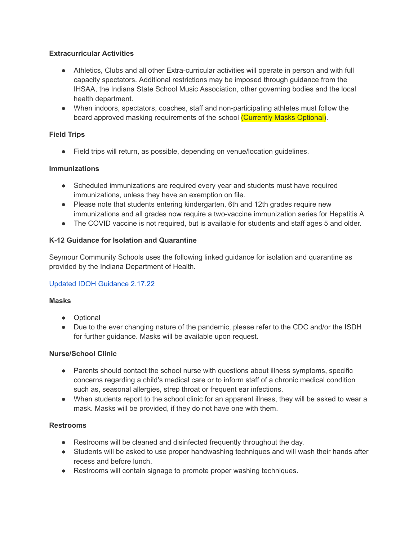# **Extracurricular Activities**

- Athletics, Clubs and all other Extra-curricular activities will operate in person and with full capacity spectators. Additional restrictions may be imposed through guidance from the IHSAA, the Indiana State School Music Association, other governing bodies and the local health department.
- When indoors, spectators, coaches, staff and non-participating athletes must follow the board approved masking requirements of the school (Currently Masks Optional).

# **Field Trips**

● Field trips will return, as possible, depending on venue/location guidelines.

# **Immunizations**

- Scheduled immunizations are required every year and students must have required immunizations, unless they have an exemption on file.
- Please note that students entering kindergarten, 6th and 12th grades require new immunizations and all grades now require a two-vaccine immunization series for Hepatitis A.
- The COVID vaccine is not required, but is available for students and staff ages 5 and older.

# **K-12 Guidance for Isolation and Quarantine**

Seymour Community Schools uses the following linked guidance for isolation and quarantine as provided by the Indiana Department of Health.

# [Updated IDOH Guidance 2.17.22](https://drive.google.com/open?id=1lNrjYgpmEAUwz6cpQNpVWttOnvpF7DC2)

#### **Masks**

- Optional
- Due to the ever changing nature of the pandemic, please refer to the CDC and/or the ISDH for further guidance. Masks will be available upon request.

# **Nurse/School Clinic**

- Parents should contact the school nurse with questions about illness symptoms, specific concerns regarding a child's medical care or to inform staff of a chronic medical condition such as, seasonal allergies, strep throat or frequent ear infections.
- When students report to the school clinic for an apparent illness, they will be asked to wear a mask. Masks will be provided, if they do not have one with them.

# **Restrooms**

- Restrooms will be cleaned and disinfected frequently throughout the day.
- Students will be asked to use proper handwashing techniques and will wash their hands after recess and before lunch.
- Restrooms will contain signage to promote proper washing techniques.